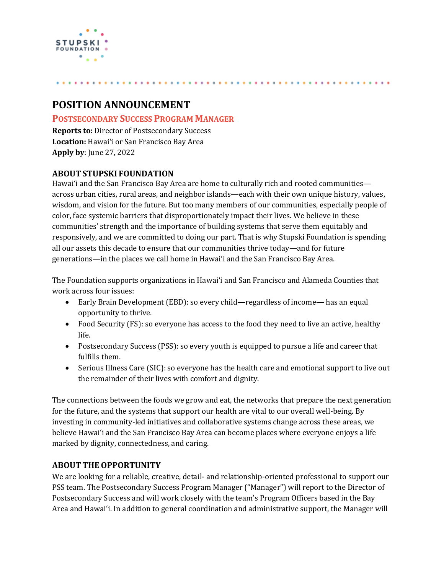

# **POSITION ANNOUNCEMENT**

## **POSTSECONDARY SUCCESS PROGRAM MANAGER**

**Reports to:** Director of Postsecondary Success **Location:** Hawaiʻi or San Francisco Bay Area **Apply by**: June 27, 2022

## **ABOUT STUPSKI FOUNDATION**

Hawaiʻi and the San Francisco Bay Area are home to culturally rich and rooted communities across urban cities, rural areas, and neighbor islands—each with their own unique history, values, wisdom, and vision for the future. But too many members of our communities, especially people of color, face systemic barriers that disproportionately impact their lives. We believe in these communities' strength and the importance of building systems that serve them equitably and responsively, and we are committed to doing our part. That is why Stupski Foundation is spending all our assets this decade to ensure that our communities thrive today—and for future generations—in the places we call home in Hawaiʻi and the San Francisco Bay Area.

The Foundation supports organizations in Hawaiʻi and San Francisco and Alameda Counties that work across four issues:

- Early Brain Development (EBD): so every child—regardless of income— has an equal opportunity to thrive.
- Food Security (FS): so everyone has access to the food they need to live an active, healthy life.
- Postsecondary Success (PSS): so every youth is equipped to pursue a life and career that fulfills them.
- Serious Illness Care (SIC): so everyone has the health care and emotional support to live out the remainder of their lives with comfort and dignity.

The connections between the foods we grow and eat, the networks that prepare the next generation for the future, and the systems that support our health are vital to our overall well-being. By investing in community-led initiatives and collaborative systems change across these areas, we believe Hawaiʻi and the San Francisco Bay Area can become places where everyone enjoys a life marked by dignity, connectedness, and caring.

# **ABOUT THEOPPORTUNITY**

We are looking for a reliable, creative, detail- and relationship-oriented professional to support our PSS team. The Postsecondary Success Program Manager ("Manager") will report to the Director of Postsecondary Success and will work closely with the team's Program Officers based in the Bay Area and Hawaiʻi. In addition to general coordination and administrative support, the Manager will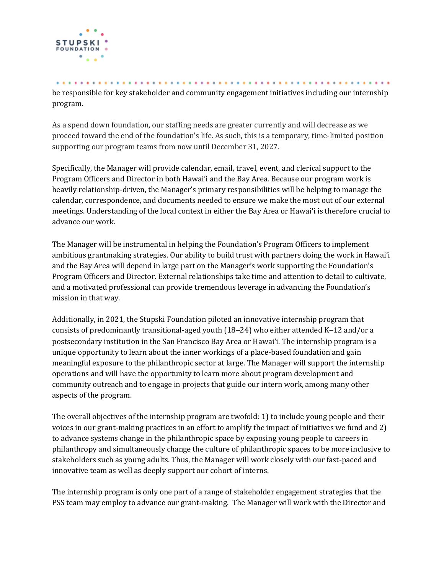

be responsible for key stakeholder and community engagement initiatives including our internship program.

As a spend down foundation, our staffing needs are greater currently and will decrease as we proceed toward the end of the foundation's life. As such, this is a temporary, time-limited position supporting our program teams from now until December 31, 2027.

Specifically, the Manager will provide calendar, email, travel, event, and clerical support to the Program Officers and Director in both Hawaiʻi and the Bay Area. Because our program work is heavily relationship-driven, the Manager's primary responsibilities will be helping to manage the calendar, correspondence, and documents needed to ensure we make the most out of our external meetings. Understanding of the local context in either the Bay Area or Hawaiʻi is therefore crucial to advance our work.

The Manager will be instrumental in helping the Foundation's Program Officers to implement ambitious grantmaking strategies. Our ability to build trust with partners doing the work in Hawaiʻi and the Bay Area will depend in large part on the Manager's work supporting the Foundation's Program Officers and Director. External relationships take time and attention to detail to cultivate, and a motivated professional can provide tremendous leverage in advancing the Foundation's mission in that way.

Additionally, in 2021, the Stupski Foundation piloted an innovative internship program that consists of predominantly transitional-aged youth (18–24) who either attended K–12 and/or a postsecondary institution in the San Francisco Bay Area or Hawaiʻi. The internship program is a unique opportunity to learn about the inner workings of a place-based foundation and gain meaningful exposure to the philanthropic sector at large. The Manager will support the internship operations and will have the opportunity to learn more about program development and community outreach and to engage in projects that guide our intern work, among many other aspects of the program.

The overall objectives of the internship program are twofold: 1) to include young people and their voices in our grant-making practices in an effort to amplify the impact of initiatives we fund and 2) to advance systems change in the philanthropic space by exposing young people to careers in philanthropy and simultaneously change the culture of philanthropic spaces to be more inclusive to stakeholders such as young adults. Thus, the Manager will work closely with our fast-paced and innovative team as well as deeply support our cohort of interns.

The internship program is only one part of a range of stakeholder engagement strategies that the PSS team may employ to advance our grant-making. The Manager will work with the Director and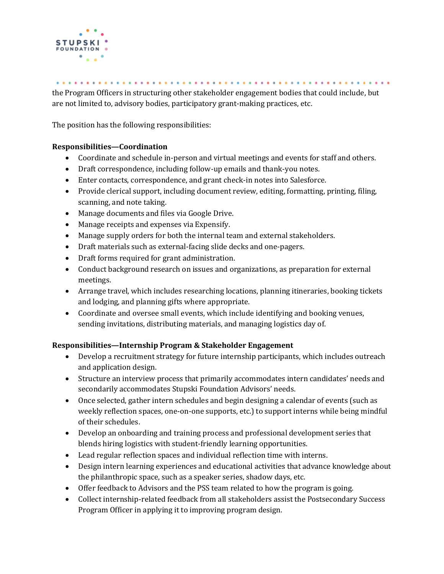

the Program Officers in structuring other stakeholder engagement bodies that could include, but are not limited to, advisory bodies, participatory grant-making practices, etc.

The position has the following responsibilities:

#### **Responsibilities—Coordination**

- Coordinate and schedule in-person and virtual meetings and events for staff and others.
- Draft correspondence, including follow-up emails and thank-you notes.
- Enter contacts, correspondence, and grant check-in notes into Salesforce.
- Provide clerical support, including document review, editing, formatting, printing, filing, scanning, and note taking.
- Manage documents and files via Google Drive.
- Manage receipts and expenses via Expensify.
- Manage supply orders for both the internal team and external stakeholders.
- Draft materials such as external-facing slide decks and one-pagers.
- Draft forms required for grant administration.
- Conduct background research on issues and organizations, as preparation for external meetings.
- Arrange travel, which includes researching locations, planning itineraries, booking tickets and lodging, and planning gifts where appropriate.
- Coordinate and oversee small events, which include identifying and booking venues, sending invitations, distributing materials, and managing logistics day of.

#### **Responsibilities—Internship Program & Stakeholder Engagement**

- Develop a recruitment strategy for future internship participants, which includes outreach and application design.
- Structure an interview process that primarily accommodates intern candidates' needs and secondarily accommodates Stupski Foundation Advisors' needs.
- Once selected, gather intern schedules and begin designing a calendar of events (such as weekly reflection spaces, one-on-one supports, etc.) to support interns while being mindful of their schedules.
- Develop an onboarding and training process and professional development series that blends hiring logistics with student-friendly learning opportunities.
- Lead regular reflection spaces and individual reflection time with interns.
- Design intern learning experiences and educational activities that advance knowledge about the philanthropic space, such as a speaker series, shadow days, etc.
- Offer feedback to Advisors and the PSS team related to how the program is going.
- Collect internship-related feedback from all stakeholders assist the Postsecondary Success Program Officer in applying it to improving program design.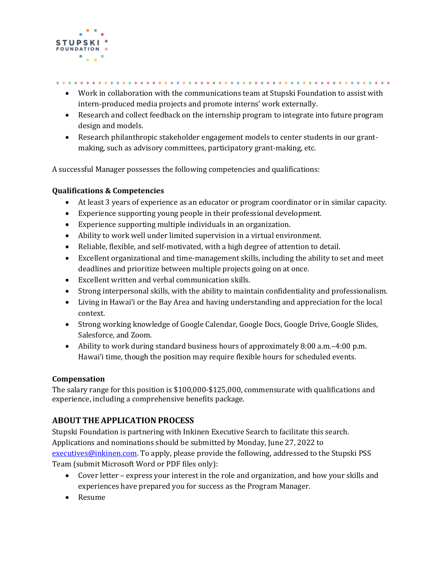

- Work in collaboration with the communications team at Stupski Foundation to assist with intern-produced media projects and promote interns' work externally.
- Research and collect feedback on the internship program to integrate into future program design and models.
- Research philanthropic stakeholder engagement models to center students in our grantmaking, such as advisory committees, participatory grant-making, etc.

A successful Manager possesses the following competencies and qualifications:

#### **Qualifications & Competencies**

- At least 3 years of experience as an educator or program coordinator or in similar capacity.
- Experience supporting young people in their professional development.
- Experience supporting multiple individuals in an organization.
- Ability to work well under limited supervision in a virtual environment.
- Reliable, flexible, and self-motivated, with a high degree of attention to detail.
- Excellent organizational and time-management skills, including the ability to set and meet deadlines and prioritize between multiple projects going on at once.
- Excellent written and verbal communication skills.
- Strong interpersonal skills, with the ability to maintain confidentiality and professionalism.
- Living in Hawaiʻi or the Bay Area and having understanding and appreciation for the local context.
- Strong working knowledge of Google Calendar, Google Docs, Google Drive, Google Slides, Salesforce, and Zoom.
- Ability to work during standard business hours of approximately 8:00 a.m.–4:00 p.m. Hawaiʻi time, though the position may require flexible hours for scheduled events.

#### **Compensation**

The salary range for this position is \$100,000-\$125,000, commensurate with qualifications and experience, including a comprehensive benefits package.

### **ABOUT THE APPLICATION PROCESS**

Stupski Foundation is partnering with Inkinen Executive Search to facilitate this search. Applications and nominations should be submitted by Monday, June 27, 2022 to

[executives@inkinen.com.](mailto:executives@inkinen.com) To apply, please provide the following, addressed to the Stupski PSS Team (submit Microsoft Word or PDF files only):

- Cover letter express your interest in the role and organization, and how your skills and experiences have prepared you for success as the Program Manager.
- Resume